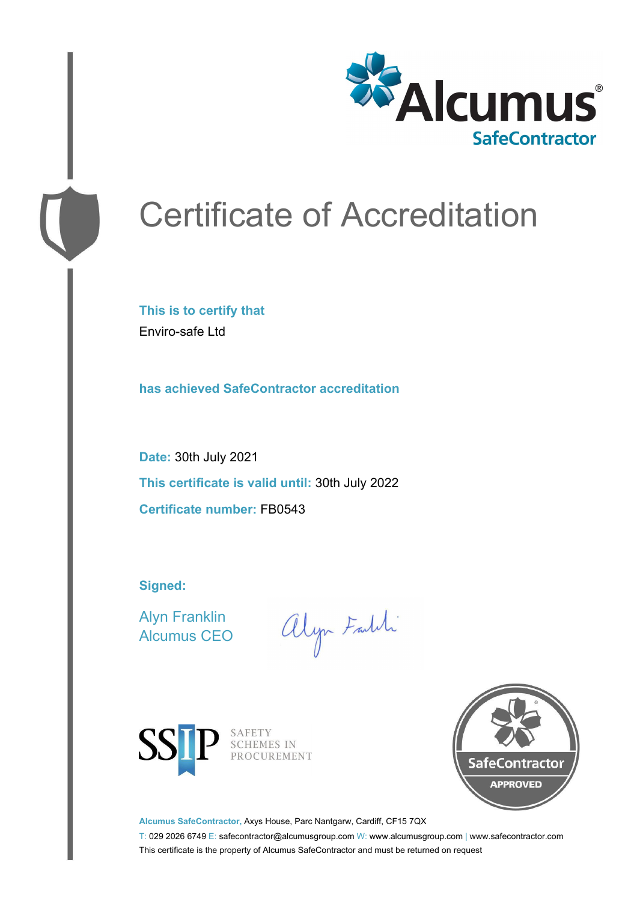

# Certificate of Accreditation

**This is to certify that** Enviro-safe Ltd

**has achieved SafeContractor accreditation**

**Date:** 30th July 2021 **This certificate is valid until:** 30th July 2022 **Certificate number:** FB0543

**Signed:**

Alyn Franklin Alcumus CEO

alyn Faith



SAFETY SCHEMES IN PROCUREMENT



**Alcumus SafeContractor,** Axys House, Parc Nantgarw, Cardiff, CF15 7QX

T: 029 2026 6749 E: safecontractor@alcumusgroup.com W: www.alcumusgroup.com | www.safecontractor.com This certificate is the property of Alcumus SafeContractor and must be returned on request